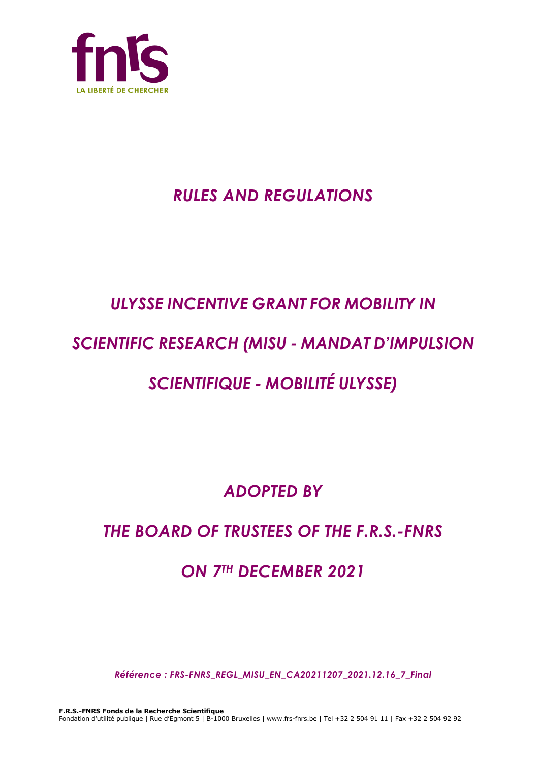

# *RULES AND REGULATIONS*

# *ULYSSE INCENTIVE GRANT FOR MOBILITY IN*

# *SCIENTIFIC RESEARCH (MISU - MANDAT D'IMPULSION*

# *SCIENTIFIQUE - MOBILITÉ ULYSSE)*

*ADOPTED BY*

# *THE BOARD OF TRUSTEES OF THE F.R.S.-FNRS*

# *ON 7TH DECEMBER 2021*

*Référence : FRS-FNRS\_REGL\_MISU\_EN\_CA20211207\_2021.12.16\_7\_Final*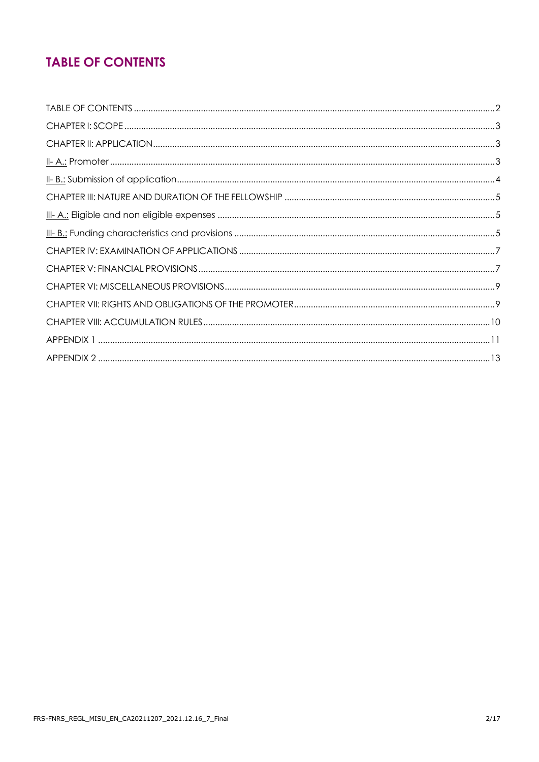# **TABLE OF CONTENTS**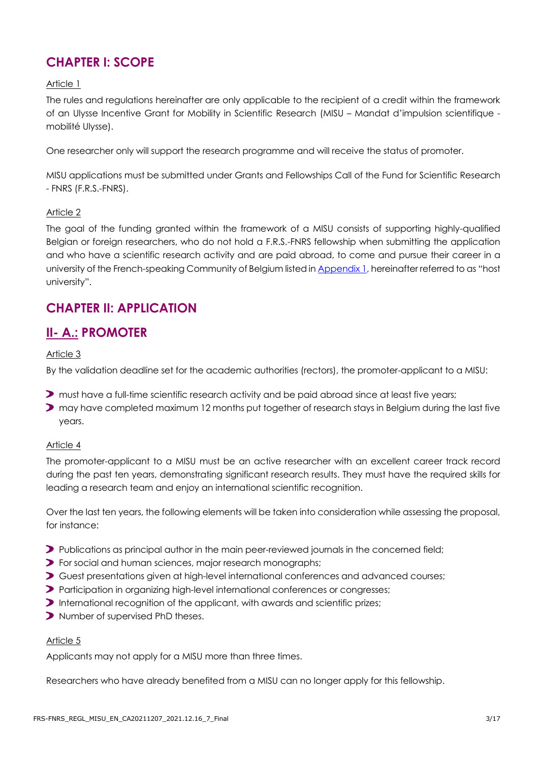# **CHAPTER I: SCOPE**

#### Article 1

The rules and regulations hereinafter are only applicable to the recipient of a credit within the framework of an Ulysse Incentive Grant for Mobility in Scientific Research (MISU – Mandat d'impulsion scientifique mobilité Ulysse).

One researcher only will support the research programme and will receive the status of promoter.

MISU applications must be submitted under Grants and Fellowships Call of the Fund for Scientific Research - FNRS (F.R.S.-FNRS).

#### Article 2

The goal of the funding granted within the framework of a MISU consists of supporting highly-qualified Belgian or foreign researchers, who do not hold a F.R.S.-FNRS fellowship when submitting the application and who have a scientific research activity and are paid abroad, to come and pursue their career in a university of the French-speaking Community of Belgium listed i[n Appendix 1](#page-10-0), hereinafter referred to as "host university".

### **CHAPTER II: APPLICATION**

## **II- A.: PROMOTER**

#### Article 3

By the validation deadline set for the academic authorities (rectors), the promoter-applicant to a MISU:

- **D** must have a full-time scientific research activity and be paid abroad since at least five years;
- **>** may have completed maximum 12 months put together of research stays in Belgium during the last five years.

#### Article 4

The promoter-applicant to a MISU must be an active researcher with an excellent career track record during the past ten years, demonstrating significant research results. They must have the required skills for leading a research team and enjoy an international scientific recognition.

Over the last ten years, the following elements will be taken into consideration while assessing the proposal, for instance:

- Publications as principal author in the main peer-reviewed journals in the concerned field;
- For social and human sciences, major research monographs;
- Guest presentations given at high-level international conferences and advanced courses;
- Participation in organizing high-level international conferences or congresses;
- International recognition of the applicant, with awards and scientific prizes;
- **>** Number of supervised PhD theses.

#### Article 5

Applicants may not apply for a MISU more than three times.

Researchers who have already benefited from a MISU can no longer apply for this fellowship.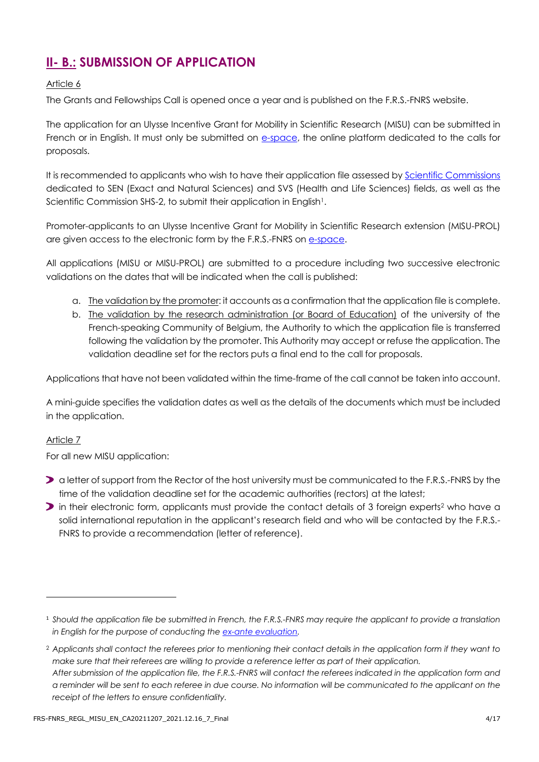# **II- B.: SUBMISSION OF APPLICATION**

#### Article 6

The Grants and Fellowships Call is opened once a year and is published on the F.R.S.-FNRS website.

The application for an Ulysse Incentive Grant for Mobility in Scientific Research (MISU) can be submitted in French or in English. It must only be submitted on [e-space,](https://e-space.frs-fnrs.be/) the online platform dedicated to the calls for proposals.

It is recommended to applicants who wish to have their application file assessed by [Scientific Commissions](https://www.frs-fnrs.be/docs/Reglement-et-documents/FRS-FNRS_Champs_descripteurs.pdf) dedicated to SEN (Exact and Natural Sciences) and SVS (Health and Life Sciences) fields, as well as the Scientific Commission SHS-2, to submit their application in English<sup>1</sup>.

Promoter-applicants to an Ulysse Incentive Grant for Mobility in Scientific Research extension (MISU-PROL) are given access to the electronic form by the F.R.S.-FNRS on [e-space.](https://e-space.frs-fnrs.be/)

All applications (MISU or MISU-PROL) are submitted to a procedure including two successive electronic validations on the dates that will be indicated when the call is published:

- a. The validation by the promoter: it accounts as a confirmation that the application file is complete.
- b. The validation by the research administration (or Board of Education) of the university of the French-speaking Community of Belgium, the Authority to which the application file is transferred following the validation by the promoter. This Authority may accept or refuse the application. The validation deadline set for the rectors puts a final end to the call for proposals.

Applications that have not been validated within the time-frame of the call cannot be taken into account.

A mini-guide specifies the validation dates as well as the details of the documents which must be included in the application.

#### Article 7

For all new MISU application:

- **D** a letter of support from the Rector of the host university must be communicated to the F.R.S.-FNRS by the time of the validation deadline set for the academic authorities (rectors) at the latest;
- in their electronic form, applicants must provide the contact details of 3 foreign experts<sup>2</sup> who have a solid international reputation in the applicant's research field and who will be contacted by the F.R.S.- FNRS to provide a recommendation (letter of reference).

<sup>1</sup> *Should the application file be submitted in French, the F.R.S.-FNRS may require the applicant to provide a translation in English for the purpose of conducting the [ex-ante evaluation.](https://www.frs-fnrs.be/docs/Reglement-et-documents/FRS-FNRS_Guide_Evaluation_EN.pdf)*

<sup>2</sup> *Applicants shall contact the referees prior to mentioning their contact details in the application form if they want to make sure that their referees are willing to provide a reference letter as part of their application. After submission of the application file, the F.R.S.-FNRS will contact the referees indicated in the application form and a reminder will be sent to each referee in due course. No information will be communicated to the applicant on the receipt of the letters to ensure confidentiality.*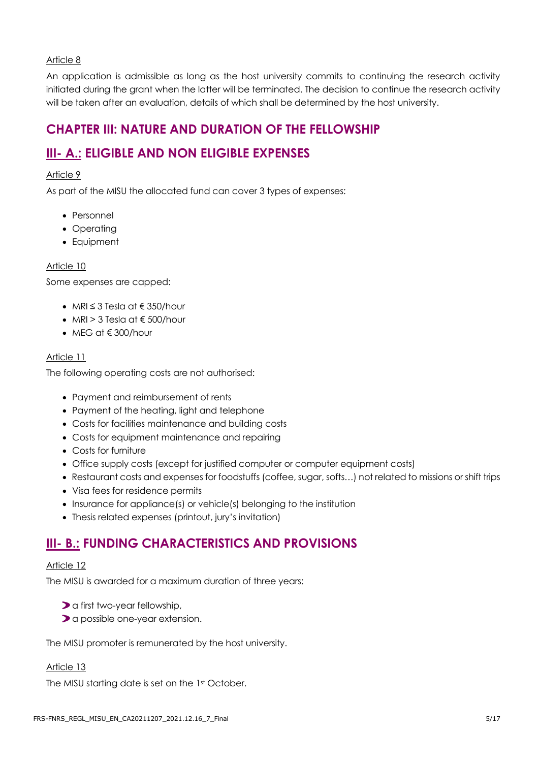#### Article 8

An application is admissible as long as the host university commits to continuing the research activity initiated during the grant when the latter will be terminated. The decision to continue the research activity will be taken after an evaluation, details of which shall be determined by the host university.

## **CHAPTER III: NATURE AND DURATION OF THE FELLOWSHIP**

# **III- A.: ELIGIBLE AND NON ELIGIBLE EXPENSES**

#### Article 9

As part of the MISU the allocated fund can cover 3 types of expenses:

- Personnel
- Operating
- Equipment

#### Article 10

Some expenses are capped:

- MRI  $\leq$  3 Tesla at  $\in$  350/hour
- MRI > 3 Tesla at  $\epsilon$  500/hour
- MFG at  $\notin$  300/hour

#### Article 11

The following operating costs are not authorised:

- Payment and reimbursement of rents
- Payment of the heating, light and telephone
- Costs for facilities maintenance and building costs
- Costs for equipment maintenance and repairing
- Costs for furniture
- Office supply costs (except for justified computer or computer equipment costs)
- Restaurant costs and expenses for foodstuffs (coffee, sugar, softs…) not related to missions or shift trips
- Visa fees for residence permits
- Insurance for appliance(s) or vehicle(s) belonging to the institution
- Thesis related expenses (printout, jury's invitation)

## **III- B.: FUNDING CHARACTERISTICS AND PROVISIONS**

#### Article 12

The MISU is awarded for a maximum duration of three years:

- a first two-year fellowship,
- a possible one-year extension.

The MISU promoter is remunerated by the host university.

#### Article 13

The MISU starting date is set on the 1st October.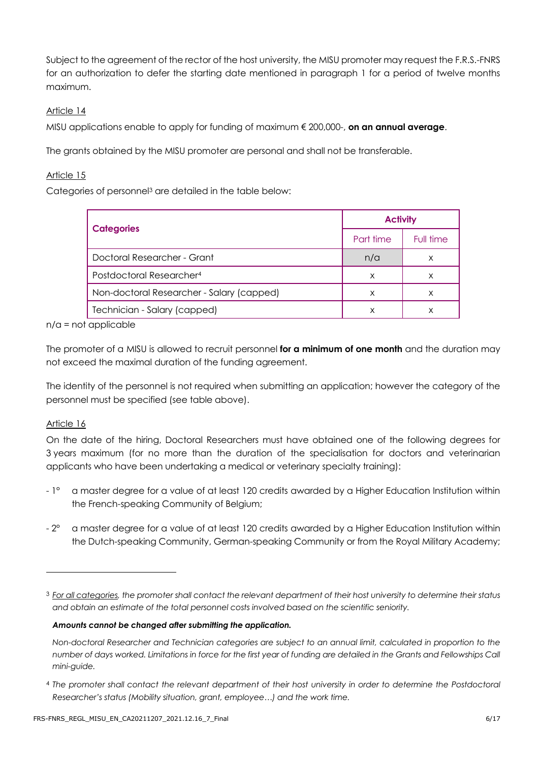Subject to the agreement of the rector of the host university, the MISU promoter may request the F.R.S.-FNRS for an authorization to defer the starting date mentioned in paragraph 1 for a period of twelve months maximum.

#### Article 14

MISU applications enable to apply for funding of maximum € 200,000-, **on an annual average**.

The grants obtained by the MISU promoter are personal and shall not be transferable.

#### Article 15

Categories of personnel<sup>3</sup> are detailed in the table below:

| <b>Categories</b>                         | <b>Activity</b> |           |
|-------------------------------------------|-----------------|-----------|
|                                           | Part time       | Full time |
| Doctoral Researcher - Grant               | n/a             | х         |
| Postdoctoral Researcher <sup>4</sup>      | х               | х         |
| Non-doctoral Researcher - Salary (capped) | х               |           |
| Technician - Salary (capped)              | х               |           |

n/a = not applicable

The promoter of a MISU is allowed to recruit personnel **for a minimum of one month** and the duration may not exceed the maximal duration of the funding agreement.

The identity of the personnel is not required when submitting an application; however the category of the personnel must be specified (see table above).

#### Article 16

On the date of the hiring, Doctoral Researchers must have obtained one of the following degrees for 3 years maximum (for no more than the duration of the specialisation for doctors and veterinarian applicants who have been undertaking a medical or veterinary specialty training):

- 1° a master degree for a value of at least 120 credits awarded by a Higher Education Institution within the French-speaking Community of Belgium;
- $2^{\circ}$  a master degree for a value of at least 120 credits awarded by a Higher Education Institution within the Dutch-speaking Community, German-speaking Community or from the Royal Military Academy;

#### *Amounts cannot be changed after submitting the application.*

<sup>3</sup> *For all categories, the promoter shall contact the relevant department of their host university to determine their status and obtain an estimate of the total personnel costs involved based on the scientific seniority.*

*Non-doctoral Researcher and Technician categories are subject to an annual limit, calculated in proportion to the number of days worked. Limitations in force for the first year of funding are detailed in the Grants and Fellowships Call mini-guide.*

<sup>4</sup> *The promoter shall contact the relevant department of their host university in order to determine the Postdoctoral Researcher's status (Mobility situation, grant, employee…) and the work time.*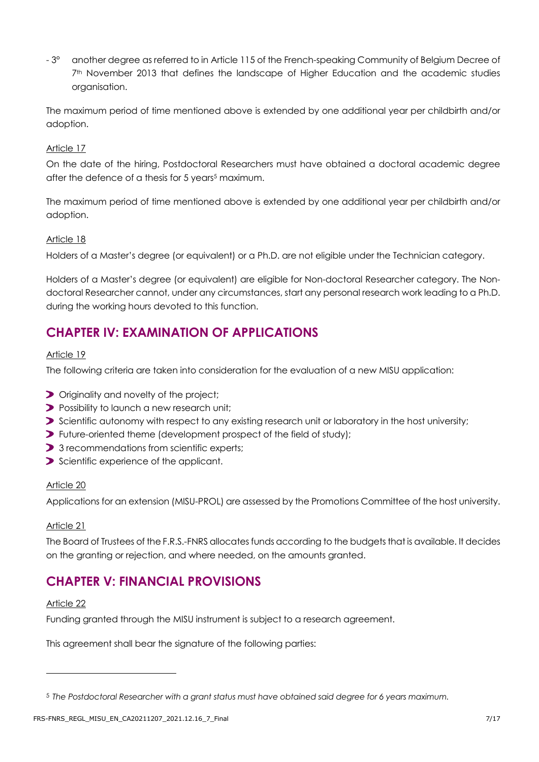- 3° another degree as referred to in Article 115 of the French-speaking Community of Belgium Decree of 7<sup>th</sup> November 2013 that defines the landscape of Higher Education and the academic studies organisation.

The maximum period of time mentioned above is extended by one additional year per childbirth and/or adoption.

#### Article 17

On the date of the hiring, Postdoctoral Researchers must have obtained a doctoral academic degree after the defence of a thesis for 5 years<sup>5</sup> maximum.

The maximum period of time mentioned above is extended by one additional year per childbirth and/or adoption.

#### Article 18

Holders of a Master's degree (or equivalent) or a Ph.D. are not eligible under the Technician category.

Holders of a Master's degree (or equivalent) are eligible for Non-doctoral Researcher category. The Nondoctoral Researcher cannot, under any circumstances, start any personal research work leading to a Ph.D. during the working hours devoted to this function.

# **CHAPTER IV: EXAMINATION OF APPLICATIONS**

#### Article 19

The following criteria are taken into consideration for the evaluation of a new MISU application:

- **D** Originality and novelty of the project;
- **Possibility to launch a new research unit;**
- Scientific autonomy with respect to any existing research unit or laboratory in the host university;
- Future-oriented theme (development prospect of the field of study);
- > 3 recommendations from scientific experts;
- Scientific experience of the applicant.

#### Article 20

Applications for an extension (MISU-PROL) are assessed by the Promotions Committee of the host university.

#### Article 21

The Board of Trustees of the F.R.S.-FNRS allocates funds according to the budgets that is available. It decides on the granting or rejection, and where needed, on the amounts granted.

## **CHAPTER V: FINANCIAL PROVISIONS**

#### Article 22

Funding granted through the MISU instrument is subject to a research agreement.

This agreement shall bear the signature of the following parties:

<sup>5</sup> *The Postdoctoral Researcher with a grant status must have obtained said degree for 6 years maximum.*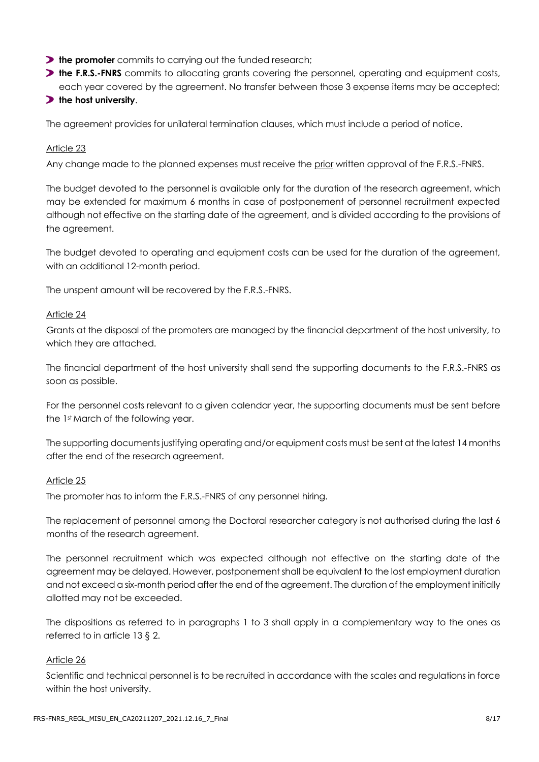- **the promoter** commits to carrying out the funded research;
- **the F.R.S.-FNRS** commits to allocating grants covering the personnel, operating and equipment costs, each year covered by the agreement. No transfer between those 3 expense items may be accepted;

#### **the host university**.

The agreement provides for unilateral termination clauses, which must include a period of notice.

#### Article 23

Any change made to the planned expenses must receive the prior written approval of the F.R.S.-FNRS.

The budget devoted to the personnel is available only for the duration of the research agreement, which may be extended for maximum 6 months in case of postponement of personnel recruitment expected although not effective on the starting date of the agreement, and is divided according to the provisions of the agreement.

The budget devoted to operating and equipment costs can be used for the duration of the agreement, with an additional 12-month period.

The unspent amount will be recovered by the F.R.S.-FNRS.

#### Article 24

Grants at the disposal of the promoters are managed by the financial department of the host university, to which they are attached.

The financial department of the host university shall send the supporting documents to the F.R.S.-FNRS as soon as possible.

For the personnel costs relevant to a given calendar year, the supporting documents must be sent before the 1<sup>st</sup> March of the following year.

The supporting documents justifying operating and/or equipment costs must be sent at the latest 14 months after the end of the research agreement.

#### Article 25

The promoter has to inform the F.R.S.-FNRS of any personnel hiring.

The replacement of personnel among the Doctoral researcher category is not authorised during the last 6 months of the research agreement.

The personnel recruitment which was expected although not effective on the starting date of the agreement may be delayed. However, postponement shall be equivalent to the lost employment duration and not exceed a six-month period after the end of the agreement. The duration of the employment initially allotted may not be exceeded.

The dispositions as referred to in paragraphs 1 to 3 shall apply in a complementary way to the ones as referred to in article 13 § 2.

#### Article 26

Scientific and technical personnel is to be recruited in accordance with the scales and regulations in force within the host university.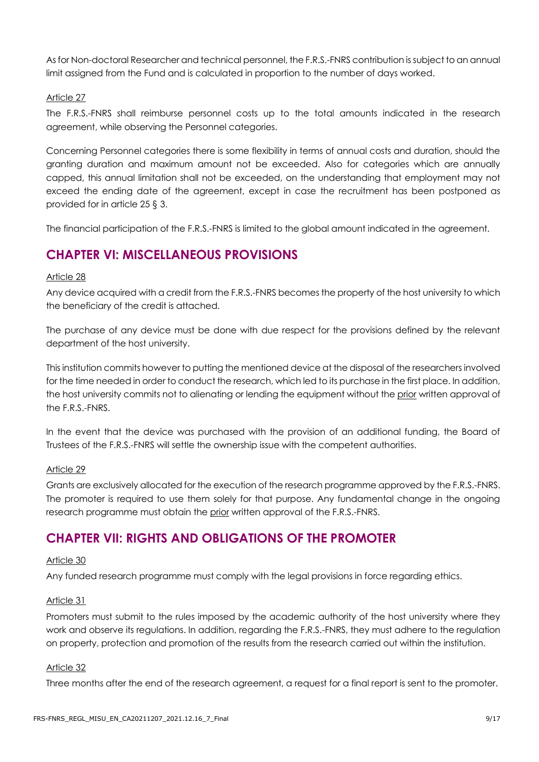As for Non-doctoral Researcher and technical personnel, the F.R.S.-FNRS contribution is subject to an annual limit assigned from the Fund and is calculated in proportion to the number of days worked.

#### Article 27

The F.R.S.-FNRS shall reimburse personnel costs up to the total amounts indicated in the research agreement, while observing the Personnel categories.

Concerning Personnel categories there is some flexibility in terms of annual costs and duration, should the granting duration and maximum amount not be exceeded. Also for categories which are annually capped, this annual limitation shall not be exceeded, on the understanding that employment may not exceed the ending date of the agreement, except in case the recruitment has been postponed as provided for in article 25 § 3.

The financial participation of the F.R.S.-FNRS is limited to the global amount indicated in the agreement.

## **CHAPTER VI: MISCELLANEOUS PROVISIONS**

#### Article 28

Any device acquired with a credit from the F.R.S.-FNRS becomes the property of the host university to which the beneficiary of the credit is attached.

The purchase of any device must be done with due respect for the provisions defined by the relevant department of the host university.

This institution commits however to putting the mentioned device at the disposal of the researchers involved for the time needed in order to conduct the research, which led to its purchase in the first place. In addition, the host university commits not to alienating or lending the equipment without the prior written approval of the F.R.S.-FNRS.

In the event that the device was purchased with the provision of an additional funding, the Board of Trustees of the F.R.S.-FNRS will settle the ownership issue with the competent authorities.

#### Article 29

Grants are exclusively allocated for the execution of the research programme approved by the F.R.S.-FNRS. The promoter is required to use them solely for that purpose. Any fundamental change in the ongoing research programme must obtain the prior written approval of the F.R.S.-FNRS.

## **CHAPTER VII: RIGHTS AND OBLIGATIONS OF THE PROMOTER**

#### Article 30

Any funded research programme must comply with the legal provisions in force regarding ethics.

#### Article 31

Promoters must submit to the rules imposed by the academic authority of the host university where they work and observe its regulations. In addition, regarding the F.R.S.-FNRS, they must adhere to the regulation on property, protection and promotion of the results from the research carried out within the institution.

#### Article 32

Three months after the end of the research agreement, a request for a final report is sent to the promoter.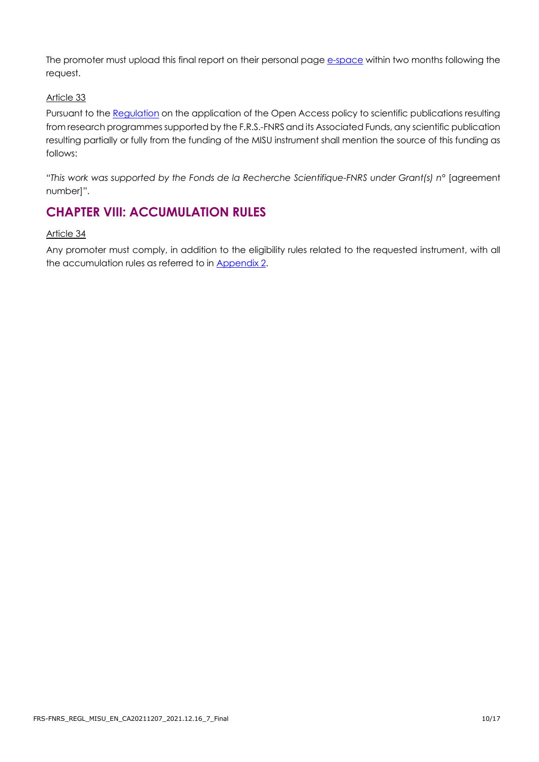The promoter must upload this final report on their personal pag[e e-space](https://e-space.frs-fnrs.be/) within two months following the request.

#### Article 33

Pursuant to the [Regulation](https://www.frs-fnrs.be/docs/Reglement_OPEN_ACCESS_EN.pdf) on the application of the Open Access policy to scientific publications resulting from research programmes supported by the F.R.S.-FNRS and its Associated Funds, any scientific publication resulting partially or fully from the funding of the MISU instrument shall mention the source of this funding as follows:

"*This work was supported by the Fonds de la Recherche Scientifique-FNRS under Grant(s) n°* [agreement number]".

## **CHAPTER VIII: ACCUMULATION RULES**

Article 34

Any promoter must comply, in addition to the eligibility rules related to the requested instrument, with all the accumulation rules as referred to in [Appendix](#page-12-0) 2.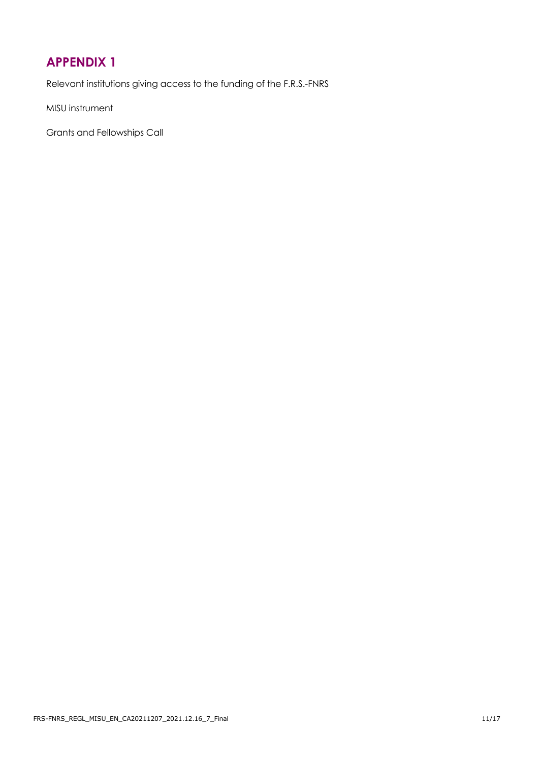# <span id="page-10-0"></span>**APPENDIX 1**

Relevant institutions giving access to the funding of the F.R.S.-FNRS

MISU instrument

Grants and Fellowships Call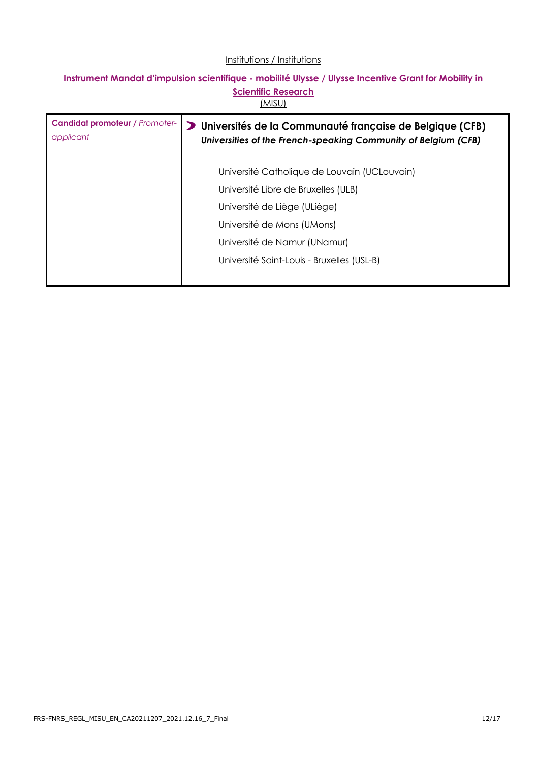#### Institutions / Institutions

#### **Instrument Mandat d'impulsion scientifique - mobilité Ulysse / Ulysse Incentive Grant for Mobility in Scientific Research** (MISU)

| <b>Candidat promoteur / Promoter-</b><br>applicant | Universités de la Communauté française de Belgique (CFB)<br>⋗<br>Universities of the French-speaking Community of Belgium (CFB) |
|----------------------------------------------------|---------------------------------------------------------------------------------------------------------------------------------|
|                                                    | Université Catholique de Louvain (UCLouvain)                                                                                    |
|                                                    | Université Libre de Bruxelles (ULB)                                                                                             |
|                                                    | Université de Liège (ULiège)                                                                                                    |
|                                                    | Université de Mons (UMons)                                                                                                      |
|                                                    | Université de Namur (UNamur)                                                                                                    |
|                                                    | Université Saint-Louis - Bruxelles (USL-B)                                                                                      |
|                                                    |                                                                                                                                 |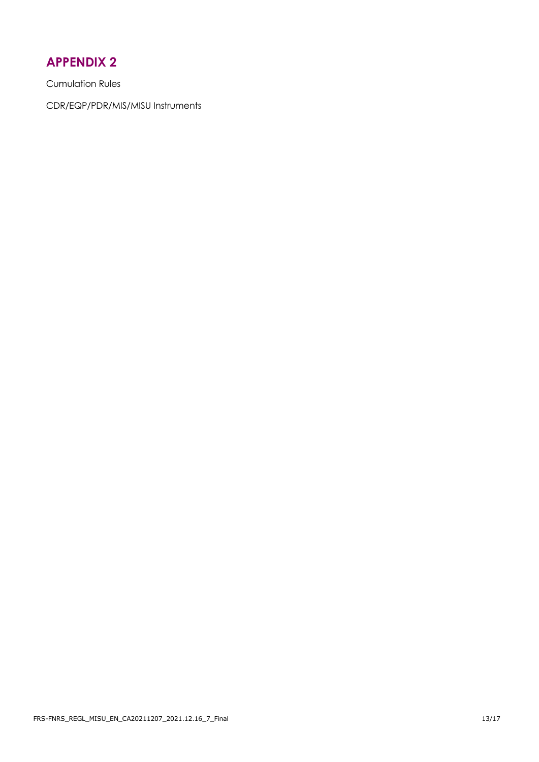# <span id="page-12-0"></span>**APPENDIX 2**

Cumulation Rules

CDR/EQP/PDR/MIS/MISU Instruments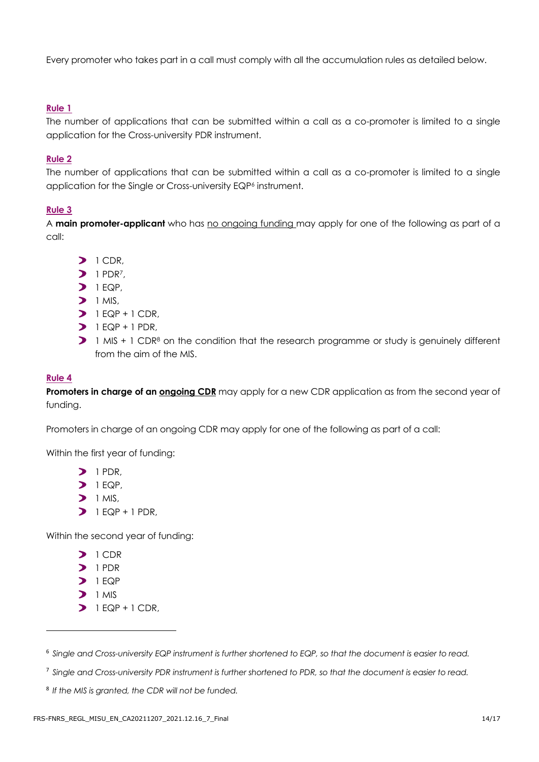Every promoter who takes part in a call must comply with all the accumulation rules as detailed below.

#### **Rule 1**

The number of applications that can be submitted within a call as a co-promoter is limited to a single application for the Cross-university PDR instrument.

#### **Rule 2**

The number of applications that can be submitted within a call as a co-promoter is limited to a single application for the Single or Cross-university EQP<sup>6</sup> instrument.

#### **Rule 3**

A **main promoter-applicant** who has no ongoing funding may apply for one of the following as part of a call:

- $\sum$  1 CDR,
- $1$  PDR<sup>7</sup>
- $1 FQP$
- $\sum$  1 MIS,
- $1 EQP + 1 CDR$
- $1 FQP + 1 PDR$
- 1 MIS + 1 CDR<sup>8</sup> on the condition that the research programme or study is genuinely different from the aim of the MIS.

#### **Rule 4**

**Promoters in charge of an ongoing CDR** may apply for a new CDR application as from the second year of funding.

Promoters in charge of an ongoing CDR may apply for one of the following as part of a call:

Within the first year of funding:

- $\sum$  1 PDR.
- $\sum$  1 EQP.
- $\triangleright$  1 MIS,
- $1 EQP + 1 PDR$

Within the second year of funding:

- $\sum$  1 CDR
- $\sum$  1 PDR
- $1 FQP$
- $\sum$  1 MIS
- $1 EQP + 1 CDR$

<sup>6</sup> *Single and Cross-university EQP instrument is further shortened to EQP, so that the document is easier to read.*

<sup>7</sup> *Single and Cross-university PDR instrument is further shortened to PDR, so that the document is easier to read.*

<sup>8</sup> *If the MIS is granted, the CDR will not be funded.*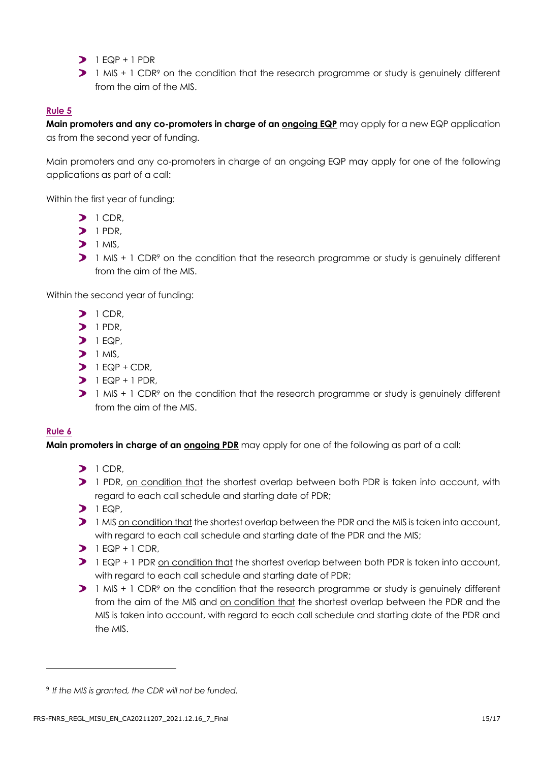- $1 FQP + 1 PDR$
- 1 MIS + 1 CDR<sup>9</sup> on the condition that the research programme or study is genuinely different from the aim of the MIS.

#### **Rule 5**

**Main promoters and any co-promoters in charge of an ongoing EQP** may apply for a new EQP application as from the second year of funding.

Main promoters and any co-promoters in charge of an ongoing EQP may apply for one of the following applications as part of a call:

Within the first year of funding:

- $1$  CDR.
- $\sum$  1 PDR,
- $1$  MIS
- $\triangleright$  1 MIS + 1 CDR<sup>9</sup> on the condition that the research programme or study is genuinely different from the aim of the MIS.

Within the second year of funding:

- $1$  CDR.
- $\sum$  1 PDR.
- $\sum$  1 EQP.
- $\sum$  1 MIS.
- $1 EQP + CDR$
- $1 EQP + 1 PDR$
- $\triangleright$  1 MIS + 1 CDR<sup>9</sup> on the condition that the research programme or study is genuinely different from the aim of the MIS.

#### **Rule 6**

**Main promoters in charge of an ongoing PDR** may apply for one of the following as part of a call:

- $1$  CDR,
- 1 PDR, on condition that the shortest overlap between both PDR is taken into account, with regard to each call schedule and starting date of PDR;
- $\sum$  1 EQP,
- **1** MIS on condition that the shortest overlap between the PDR and the MIS is taken into account, with regard to each call schedule and starting date of the PDR and the MIS;
- $1 EQP + 1 CDR$
- 1 EQP + 1 PDR on condition that the shortest overlap between both PDR is taken into account, with regard to each call schedule and starting date of PDR;
- 1 MIS + 1 CDR<sup>9</sup> on the condition that the research programme or study is genuinely different from the aim of the MIS and on condition that the shortest overlap between the PDR and the MIS is taken into account, with regard to each call schedule and starting date of the PDR and the MIS.

<sup>9</sup> *If the MIS is granted, the CDR will not be funded.*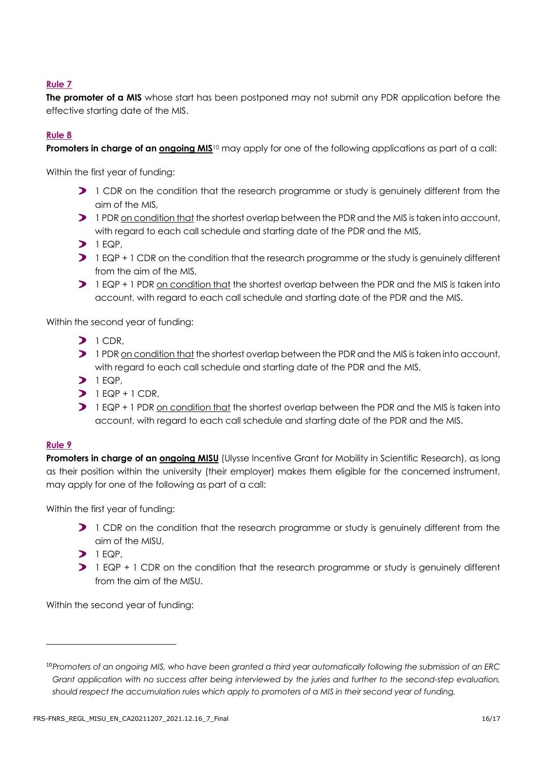#### **Rule 7**

**The promoter of a MIS** whose start has been postponed may not submit any PDR application before the effective starting date of the MIS.

#### **Rule 8**

**Promoters in charge of an ongoing MIS**<sup>10</sup> may apply for one of the following applications as part of a call:

Within the first year of funding:

- 1 CDR on the condition that the research programme or study is genuinely different from the aim of the MIS,
- **1** PDR on condition that the shortest overlap between the PDR and the MIS is taken into account, with regard to each call schedule and starting date of the PDR and the MIS,
- $\sum$  1 EQP.
- 1 EQP + 1 CDR on the condition that the research programme or the study is genuinely different from the aim of the MIS,
- 1 EQP + 1 PDR on condition that the shortest overlap between the PDR and the MIS is taken into account, with regard to each call schedule and starting date of the PDR and the MIS.

Within the second year of funding:

- $1$  CDR,
- 1 PDR on condition that the shortest overlap between the PDR and the MIS is taken into account, with regard to each call schedule and starting date of the PDR and the MIS,
- $1 EQP$
- $1 FQP + 1 CDR$
- **1** EQP + 1 PDR on condition that the shortest overlap between the PDR and the MIS is taken into account, with regard to each call schedule and starting date of the PDR and the MIS.

#### **Rule 9**

**Promoters in charge of an ongoing MISU** (Ulysse Incentive Grant for Mobility in Scientific Research), as long as their position within the university (their employer) makes them eligible for the concerned instrument, may apply for one of the following as part of a call:

Within the first year of funding:

- 1 CDR on the condition that the research programme or study is genuinely different from the aim of the MISU,
- $\sum$  1 EQP,
- 1 EQP + 1 CDR on the condition that the research programme or study is genuinely different from the aim of the MISU.

Within the second year of funding:

<sup>10</sup>*Promoters of an ongoing MIS, who have been granted a third year automatically following the submission of an ERC Grant application with no success after being interviewed by the juries and further to the second-step evaluation, should respect the accumulation rules which apply to promoters of a MIS in their second year of funding.*